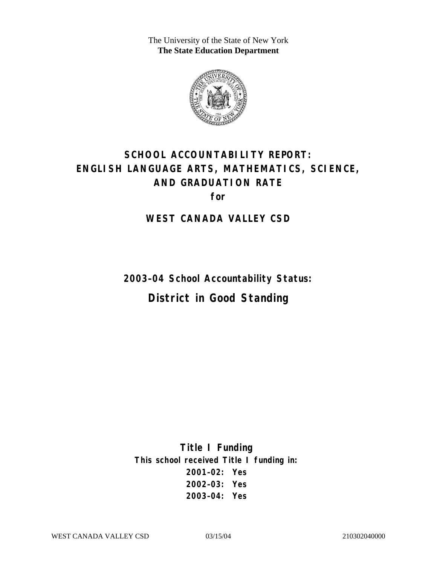The University of the State of New York **The State Education Department** 



# **SCHOOL ACCOUNTABILITY REPORT: ENGLISH LANGUAGE ARTS, MATHEMATICS, SCIENCE, AND GRADUATION RATE for**

#### **WEST CANADA VALLEY CSD**

**2003–04 School Accountability Status:** 

# **District in Good Standing**

**Title I Funding This school received Title I funding in: 2001–02: Yes 2002–03: Yes 2003–04: Yes**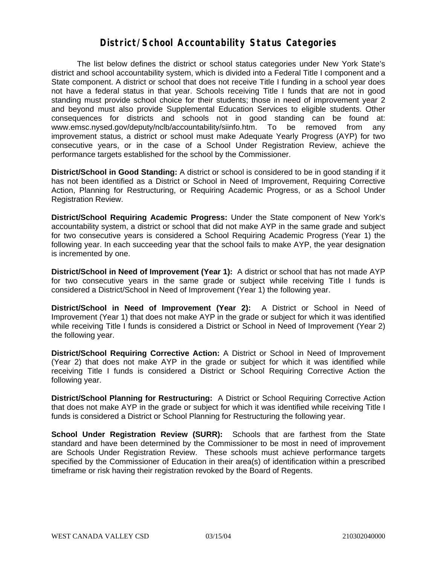#### **District/School Accountability Status Categories**

The list below defines the district or school status categories under New York State's district and school accountability system, which is divided into a Federal Title I component and a State component. A district or school that does not receive Title I funding in a school year does not have a federal status in that year. Schools receiving Title I funds that are not in good standing must provide school choice for their students; those in need of improvement year 2 and beyond must also provide Supplemental Education Services to eligible students. Other consequences for districts and schools not in good standing can be found at: www.emsc.nysed.gov/deputy/nclb/accountability/siinfo.htm. To be removed from any improvement status, a district or school must make Adequate Yearly Progress (AYP) for two consecutive years, or in the case of a School Under Registration Review, achieve the performance targets established for the school by the Commissioner.

**District/School in Good Standing:** A district or school is considered to be in good standing if it has not been identified as a District or School in Need of Improvement, Requiring Corrective Action, Planning for Restructuring, or Requiring Academic Progress, or as a School Under Registration Review.

**District/School Requiring Academic Progress:** Under the State component of New York's accountability system, a district or school that did not make AYP in the same grade and subject for two consecutive years is considered a School Requiring Academic Progress (Year 1) the following year. In each succeeding year that the school fails to make AYP, the year designation is incremented by one.

**District/School in Need of Improvement (Year 1):** A district or school that has not made AYP for two consecutive years in the same grade or subject while receiving Title I funds is considered a District/School in Need of Improvement (Year 1) the following year.

**District/School in Need of Improvement (Year 2):** A District or School in Need of Improvement (Year 1) that does not make AYP in the grade or subject for which it was identified while receiving Title I funds is considered a District or School in Need of Improvement (Year 2) the following year.

**District/School Requiring Corrective Action:** A District or School in Need of Improvement (Year 2) that does not make AYP in the grade or subject for which it was identified while receiving Title I funds is considered a District or School Requiring Corrective Action the following year.

**District/School Planning for Restructuring:** A District or School Requiring Corrective Action that does not make AYP in the grade or subject for which it was identified while receiving Title I funds is considered a District or School Planning for Restructuring the following year.

**School Under Registration Review (SURR):** Schools that are farthest from the State standard and have been determined by the Commissioner to be most in need of improvement are Schools Under Registration Review. These schools must achieve performance targets specified by the Commissioner of Education in their area(s) of identification within a prescribed timeframe or risk having their registration revoked by the Board of Regents.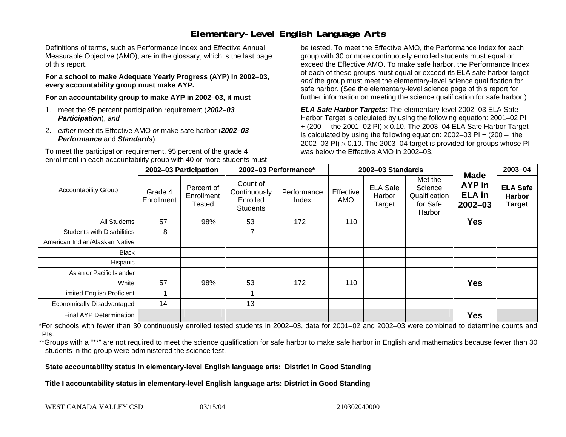## **Elementary-Level English Language Arts**

Definitions of terms, such as Performance Index and Effective Annual Measurable Objective (AMO), are in the glossary, which is the last page of this report.

**For a school to make Adequate Yearly Progress (AYP) in 2002–03, every accountability group must make AYP.** 

**For an accountability group to make AYP in 2002–03, it must** 

- 1. meet the 95 percent participation requirement (*2002–03 Participation*), *and*
- 2. *either* meet its Effective AMO *or* make safe harbor (*2002–03 Performance* and *Standards*).

To meet the participation requirement, 95 percent of the grade 4 enrollment in each accountability group with 40 or more students must

be tested. To meet the Effective AMO, the Performance Index for each group with 30 or more continuously enrolled students must equal or exceed the Effective AMO. To make safe harbor, the Performance Index of each of these groups must equal or exceed its ELA safe harbor target *and* the group must meet the elementary-level science qualification for safe harbor. (See the elementary-level science page of this report for further information on meeting the science qualification for safe harbor.)

*ELA Safe Harbor Targets:* The elementary-level 2002–03 ELA Safe Harbor Target is calculated by using the following equation: 2001–02 PI + (200 – the 2001–02 PI) <sup>×</sup> 0.10. The 2003–04 ELA Safe Harbor Target is calculated by using the following equation: 2002–03 PI + (200 – the 2002–03 PI)  $\times$  0.10. The 2003–04 target is provided for groups whose PI was below the Effective AMO in 2002–03.

|                                   | 2002-03 Participation |                                    | 2002-03 Performance*                                    |                      |                  | 2002-03 Standards                   | <b>Made</b>                                               | 2003-04                                       |                                                   |
|-----------------------------------|-----------------------|------------------------------------|---------------------------------------------------------|----------------------|------------------|-------------------------------------|-----------------------------------------------------------|-----------------------------------------------|---------------------------------------------------|
| <b>Accountability Group</b>       | Grade 4<br>Enrollment | Percent of<br>Enrollment<br>Tested | Count of<br>Continuously<br>Enrolled<br><b>Students</b> | Performance<br>Index | Effective<br>AMO | <b>ELA Safe</b><br>Harbor<br>Target | Met the<br>Science<br>Qualification<br>for Safe<br>Harbor | <b>AYP</b> in<br><b>ELA</b> in<br>$2002 - 03$ | <b>ELA Safe</b><br><b>Harbor</b><br><b>Target</b> |
| All Students                      | 57                    | 98%                                | 53                                                      | 172                  | 110              |                                     |                                                           | <b>Yes</b>                                    |                                                   |
| <b>Students with Disabilities</b> | 8                     |                                    | $\overline{7}$                                          |                      |                  |                                     |                                                           |                                               |                                                   |
| American Indian/Alaskan Native    |                       |                                    |                                                         |                      |                  |                                     |                                                           |                                               |                                                   |
| <b>Black</b>                      |                       |                                    |                                                         |                      |                  |                                     |                                                           |                                               |                                                   |
| Hispanic                          |                       |                                    |                                                         |                      |                  |                                     |                                                           |                                               |                                                   |
| Asian or Pacific Islander         |                       |                                    |                                                         |                      |                  |                                     |                                                           |                                               |                                                   |
| White                             | 57                    | 98%                                | 53                                                      | 172                  | 110              |                                     |                                                           | <b>Yes</b>                                    |                                                   |
| <b>Limited English Proficient</b> |                       |                                    |                                                         |                      |                  |                                     |                                                           |                                               |                                                   |
| Economically Disadvantaged        | 14                    |                                    | 13                                                      |                      |                  |                                     |                                                           |                                               |                                                   |
| <b>Final AYP Determination</b>    |                       |                                    |                                                         |                      |                  |                                     |                                                           | <b>Yes</b>                                    |                                                   |

\*For schools with fewer than 30 continuously enrolled tested students in 2002–03, data for 2001–02 and 2002–03 were combined to determine counts and PIs.

\*\*Groups with a "\*\*" are not required to meet the science qualification for safe harbor to make safe harbor in English and mathematics because fewer than 30 students in the group were administered the science test.

**State accountability status in elementary-level English language arts: District in Good Standing** 

Title I accountability status in elementary-level English language arts: District in Good Standing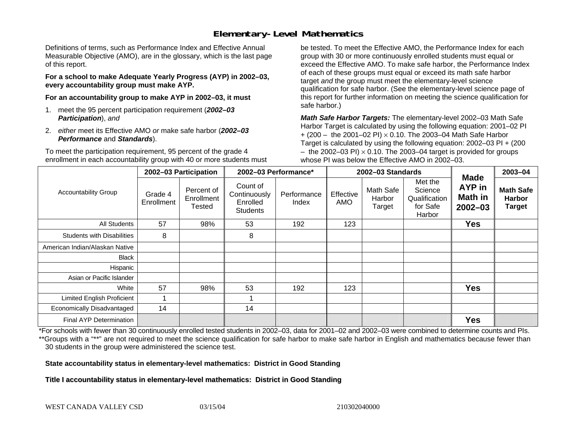## **Elementary-Level Mathematics**

Definitions of terms, such as Performance Index and Effective Annual Measurable Objective (AMO), are in the glossary, which is the last page of this report.

**For a school to make Adequate Yearly Progress (AYP) in 2002–03, every accountability group must make AYP.** 

**For an accountability group to make AYP in 2002–03, it must** 

- 1. meet the 95 percent participation requirement (*2002–03 Participation*), *and*
- 2. *either* meet its Effective AMO *or* make safe harbor (*2002–03 Performance* and *Standards*).

To meet the participation requirement, 95 percent of the grade 4 enrollment in each accountability group with 40 or more students must

be tested. To meet the Effective AMO, the Performance Index for each group with 30 or more continuously enrolled students must equal or exceed the Effective AMO. To make safe harbor, the Performance Index of each of these groups must equal or exceed its math safe harbor target *and* the group must meet the elementary-level science qualification for safe harbor. (See the elementary-level science page of this report for further information on meeting the science qualification for safe harbor.)

*Math Safe Harbor Targets:* The elementary-level 2002–03 Math Safe Harbor Target is calculated by using the following equation: 2001–02 PI + (200 – the 2001–02 PI) × 0.10. The 2003–04 Math Safe Harbor Target is calculated by using the following equation: 2002–03 PI + (200  $-$  the 2002–03 PI)  $\times$  0.10. The 2003–04 target is provided for groups whose PI was below the Effective AMO in 2002–03.

|                                   | 2002-03 Participation |                                    | 2002-03 Performance*                                    |                      | 2002-03 Standards |                               |                                                           |                                                               | 2003-04                                            |
|-----------------------------------|-----------------------|------------------------------------|---------------------------------------------------------|----------------------|-------------------|-------------------------------|-----------------------------------------------------------|---------------------------------------------------------------|----------------------------------------------------|
| <b>Accountability Group</b>       | Grade 4<br>Enrollment | Percent of<br>Enrollment<br>Tested | Count of<br>Continuously<br>Enrolled<br><b>Students</b> | Performance<br>Index | Effective<br>AMO  | Math Safe<br>Harbor<br>Target | Met the<br>Science<br>Qualification<br>for Safe<br>Harbor | <b>Made</b><br><b>AYP</b> in<br><b>Math in</b><br>$2002 - 03$ | <b>Math Safe</b><br><b>Harbor</b><br><b>Target</b> |
| All Students                      | 57                    | 98%                                | 53                                                      | 192                  | 123               |                               |                                                           | <b>Yes</b>                                                    |                                                    |
| <b>Students with Disabilities</b> | 8                     |                                    | 8                                                       |                      |                   |                               |                                                           |                                                               |                                                    |
| American Indian/Alaskan Native    |                       |                                    |                                                         |                      |                   |                               |                                                           |                                                               |                                                    |
| <b>Black</b>                      |                       |                                    |                                                         |                      |                   |                               |                                                           |                                                               |                                                    |
| Hispanic                          |                       |                                    |                                                         |                      |                   |                               |                                                           |                                                               |                                                    |
| Asian or Pacific Islander         |                       |                                    |                                                         |                      |                   |                               |                                                           |                                                               |                                                    |
| White                             | 57                    | 98%                                | 53                                                      | 192                  | 123               |                               |                                                           | <b>Yes</b>                                                    |                                                    |
| <b>Limited English Proficient</b> |                       |                                    |                                                         |                      |                   |                               |                                                           |                                                               |                                                    |
| Economically Disadvantaged        | 14                    |                                    | 14                                                      |                      |                   |                               |                                                           |                                                               |                                                    |
| <b>Final AYP Determination</b>    |                       |                                    |                                                         |                      |                   |                               |                                                           | <b>Yes</b>                                                    |                                                    |

\*For schools with fewer than 30 continuously enrolled tested students in 2002–03, data for 2001–02 and 2002–03 were combined to determine counts and PIs. \*\*Groups with a "\*\*" are not required to meet the science qualification for safe harbor to make safe harbor in English and mathematics because fewer than 30 students in the group were administered the science test.

**State accountability status in elementary-level mathematics: District in Good Standing** 

Title I accountability status in elementary-level mathematics: District in Good Standing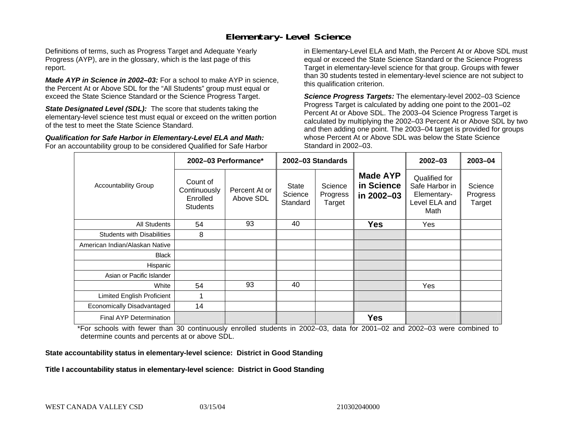### **Elementary-Level Science**

Definitions of terms, such as Progress Target and Adequate Yearly Progress (AYP), are in the glossary, which is the last page of this report.

*Made AYP in Science in 2002–03:* For a school to make AYP in science, the Percent At or Above SDL for the "All Students" group must equal or exceed the State Science Standard or the Science Progress Target.

**State Designated Level (SDL):** The score that students taking the elementary-level science test must equal or exceed on the written portion of the test to meet the State Science Standard.

*Qualification for Safe Harbor in Elementary-Level ELA and Math:* For an accountability group to be considered Qualified for Safe Harbor in Elementary-Level ELA and Math, the Percent At or Above SDL must equal or exceed the State Science Standard or the Science Progress Target in elementary-level science for that group. Groups with fewer than 30 students tested in elementary-level science are not subject to this qualification criterion.

*Science Progress Targets:* The elementary-level 2002–03 Science Progress Target is calculated by adding one point to the 2001–02 Percent At or Above SDL. The 2003–04 Science Progress Target is calculated by multiplying the 2002–03 Percent At or Above SDL by two and then adding one point. The 2003–04 target is provided for groups whose Percent At or Above SDL was below the State Science Standard in 2002–03.

|                                   |                                                         | 2002-03 Performance*       | 2002-03 Standards            |                               |                                             | $2002 - 03$                                                             | 2003-04                       |
|-----------------------------------|---------------------------------------------------------|----------------------------|------------------------------|-------------------------------|---------------------------------------------|-------------------------------------------------------------------------|-------------------------------|
| <b>Accountability Group</b>       | Count of<br>Continuously<br>Enrolled<br><b>Students</b> | Percent At or<br>Above SDL | State<br>Science<br>Standard | Science<br>Progress<br>Target | <b>Made AYP</b><br>in Science<br>in 2002-03 | Qualified for<br>Safe Harbor in<br>Elementary-<br>Level ELA and<br>Math | Science<br>Progress<br>Target |
| All Students                      | 54                                                      | 93                         | 40                           |                               | <b>Yes</b>                                  | Yes                                                                     |                               |
| <b>Students with Disabilities</b> | 8                                                       |                            |                              |                               |                                             |                                                                         |                               |
| American Indian/Alaskan Native    |                                                         |                            |                              |                               |                                             |                                                                         |                               |
| <b>Black</b>                      |                                                         |                            |                              |                               |                                             |                                                                         |                               |
| Hispanic                          |                                                         |                            |                              |                               |                                             |                                                                         |                               |
| Asian or Pacific Islander         |                                                         |                            |                              |                               |                                             |                                                                         |                               |
| White                             | 54                                                      | 93                         | 40                           |                               |                                             | Yes                                                                     |                               |
| Limited English Proficient        |                                                         |                            |                              |                               |                                             |                                                                         |                               |
| Economically Disadvantaged        | 14                                                      |                            |                              |                               |                                             |                                                                         |                               |
| <b>Final AYP Determination</b>    |                                                         |                            |                              |                               | <b>Yes</b>                                  |                                                                         |                               |

\*For schools with fewer than 30 continuously enrolled students in 2002–03, data for 2001–02 and 2002–03 were combined to determine counts and percents at or above SDL.

#### **State accountability status in elementary-level science: District in Good Standing**

#### Title I accountability status in elementary-level science: District in Good Standing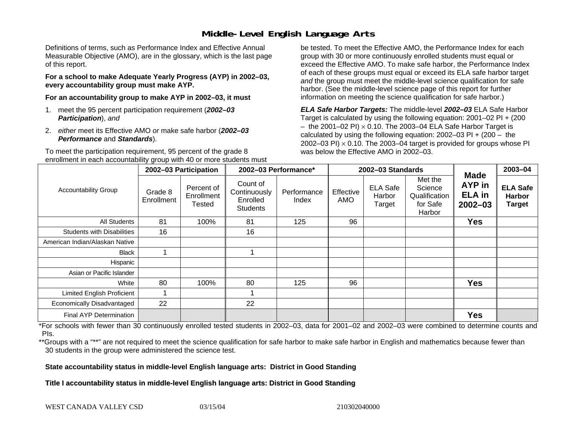### **Middle-Level English Language Arts**

Definitions of terms, such as Performance Index and Effective Annual Measurable Objective (AMO), are in the glossary, which is the last page of this report.

**For a school to make Adequate Yearly Progress (AYP) in 2002–03, every accountability group must make AYP.** 

**For an accountability group to make AYP in 2002–03, it must** 

- 1. meet the 95 percent participation requirement (*2002–03 Participation*), *and*
- 2. *either* meet its Effective AMO *or* make safe harbor (*2002–03 Performance* and *Standards*).

To meet the participation requirement, 95 percent of the grade 8 enrollment in each accountability group with 40 or more students must

be tested. To meet the Effective AMO, the Performance Index for each group with 30 or more continuously enrolled students must equal or exceed the Effective AMO. To make safe harbor, the Performance Index of each of these groups must equal or exceed its ELA safe harbor target *and* the group must meet the middle-level science qualification for safe harbor. (See the middle-level science page of this report for further information on meeting the science qualification for safe harbor.)

*ELA Safe Harbor Targets:* The middle-level *2002–03* ELA Safe Harbor Target is calculated by using the following equation: 2001–02 PI + (200  $-$  the 2001–02 PI)  $\times$  0.10. The 2003–04 ELA Safe Harbor Target is  $\,$ calculated by using the following equation:  $2002-03$  PI +  $(200 -$  the 2002–03 PI)  $\times$  0.10. The 2003–04 target is provided for groups whose PI was below the Effective AMO in 2002–03.

|                                   | 2002-03 Participation |                                    | 2002-03 Performance*                                    |                      |                  | 2002-03 Standards                   |                                                           | 2003-04                                               |                                                   |
|-----------------------------------|-----------------------|------------------------------------|---------------------------------------------------------|----------------------|------------------|-------------------------------------|-----------------------------------------------------------|-------------------------------------------------------|---------------------------------------------------|
| <b>Accountability Group</b>       | Grade 8<br>Enrollment | Percent of<br>Enrollment<br>Tested | Count of<br>Continuously<br>Enrolled<br><b>Students</b> | Performance<br>Index | Effective<br>AMO | <b>ELA Safe</b><br>Harbor<br>Target | Met the<br>Science<br>Qualification<br>for Safe<br>Harbor | <b>Made</b><br>AYP in<br><b>ELA</b> in<br>$2002 - 03$ | <b>ELA Safe</b><br><b>Harbor</b><br><b>Target</b> |
| All Students                      | 81                    | 100%                               | 81                                                      | 125                  | 96               |                                     |                                                           | <b>Yes</b>                                            |                                                   |
| <b>Students with Disabilities</b> | 16                    |                                    | 16                                                      |                      |                  |                                     |                                                           |                                                       |                                                   |
| American Indian/Alaskan Native    |                       |                                    |                                                         |                      |                  |                                     |                                                           |                                                       |                                                   |
| <b>Black</b>                      |                       |                                    |                                                         |                      |                  |                                     |                                                           |                                                       |                                                   |
| Hispanic                          |                       |                                    |                                                         |                      |                  |                                     |                                                           |                                                       |                                                   |
| Asian or Pacific Islander         |                       |                                    |                                                         |                      |                  |                                     |                                                           |                                                       |                                                   |
| White                             | 80                    | 100%                               | 80                                                      | 125                  | 96               |                                     |                                                           | <b>Yes</b>                                            |                                                   |
| Limited English Proficient        |                       |                                    |                                                         |                      |                  |                                     |                                                           |                                                       |                                                   |
| Economically Disadvantaged        | 22                    |                                    | 22                                                      |                      |                  |                                     |                                                           |                                                       |                                                   |
| <b>Final AYP Determination</b>    |                       |                                    |                                                         |                      |                  |                                     |                                                           | <b>Yes</b>                                            |                                                   |

\*For schools with fewer than 30 continuously enrolled tested students in 2002–03, data for 2001–02 and 2002–03 were combined to determine counts and PIs.

\*\*Groups with a "\*\*" are not required to meet the science qualification for safe harbor to make safe harbor in English and mathematics because fewer than 30 students in the group were administered the science test.

**State accountability status in middle-level English language arts: District in Good Standing** 

Title I accountability status in middle-level English language arts: District in Good Standing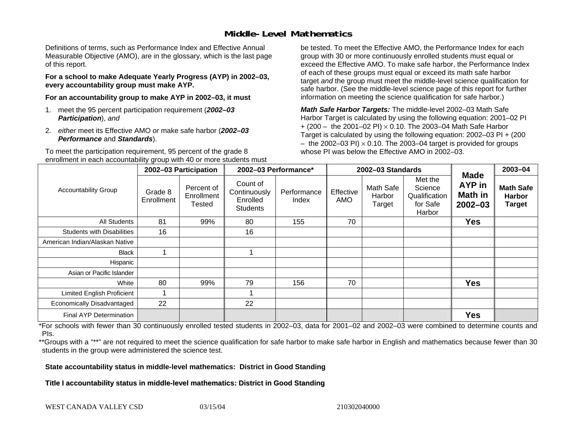### **Middle-Level Mathematics**

Definitions of terms, such as Performance Index and Effective Annual Measurable Objective (AMO), are in the glossary, which is the last page of this report.

**For a school to make Adequate Yearly Progress (AYP) in 2002–03, every accountability group must make AYP.** 

**For an accountability group to make AYP in 2002–03, it must** 

- 1. meet the 95 percent participation requirement (*2002–03 Participation*), *and*
- 2. *either* meet its Effective AMO *or* make safe harbor (*2002–03 Performance* and *Standards*).

To meet the participation requirement, 95 percent of the grade 8 enrollment in each accountability group with 40 or more students must

be tested. To meet the Effective AMO, the Performance Index for each group with 30 or more continuously enrolled students must equal or exceed the Effective AMO. To make safe harbor, the Performance Index of each of these groups must equal or exceed its math safe harbor target *and* the group must meet the middle-level science qualification for safe harbor. (See the middle-level science page of this report for further information on meeting the science qualification for safe harbor.)

*Math Safe Harbor Targets:* The middle-level 2002–03 Math Safe Harbor Target is calculated by using the following equation: 2001–02 PI + (200 – the 2001–02 PI) × 0.10. The 2003–04 Math Safe Harbor Target is calculated by using the following equation: 2002–03 PI + (200  $-$  the 2002–03 PI)  $\times$  0.10. The 2003–04 target is provided for groups whose PI was below the Effective AMO in 2002–03

|                                   | 2002-03 Participation |                                           | 2002-03 Performance*                                    |                      | 2002-03 Standards |                               |                                                           |                                                 | 2003-04                                            |
|-----------------------------------|-----------------------|-------------------------------------------|---------------------------------------------------------|----------------------|-------------------|-------------------------------|-----------------------------------------------------------|-------------------------------------------------|----------------------------------------------------|
| <b>Accountability Group</b>       | Grade 8<br>Enrollment | Percent of<br>Enrollment<br><b>Tested</b> | Count of<br>Continuously<br>Enrolled<br><b>Students</b> | Performance<br>Index | Effective<br>AMO  | Math Safe<br>Harbor<br>Target | Met the<br>Science<br>Qualification<br>for Safe<br>Harbor | <b>Made</b><br>AYP in<br>Math in<br>$2002 - 03$ | <b>Math Safe</b><br><b>Harbor</b><br><b>Target</b> |
| <b>All Students</b>               | 81                    | 99%                                       | 80                                                      | 155                  | 70                |                               |                                                           | <b>Yes</b>                                      |                                                    |
| <b>Students with Disabilities</b> | 16                    |                                           | 16                                                      |                      |                   |                               |                                                           |                                                 |                                                    |
| American Indian/Alaskan Native    |                       |                                           |                                                         |                      |                   |                               |                                                           |                                                 |                                                    |
| <b>Black</b>                      |                       |                                           |                                                         |                      |                   |                               |                                                           |                                                 |                                                    |
| Hispanic                          |                       |                                           |                                                         |                      |                   |                               |                                                           |                                                 |                                                    |
| Asian or Pacific Islander         |                       |                                           |                                                         |                      |                   |                               |                                                           |                                                 |                                                    |
| White                             | 80                    | 99%                                       | 79                                                      | 156                  | 70                |                               |                                                           | <b>Yes</b>                                      |                                                    |
| <b>Limited English Proficient</b> |                       |                                           |                                                         |                      |                   |                               |                                                           |                                                 |                                                    |
| Economically Disadvantaged        | 22                    |                                           | 22                                                      |                      |                   |                               |                                                           |                                                 |                                                    |
| <b>Final AYP Determination</b>    |                       |                                           |                                                         |                      |                   |                               |                                                           | <b>Yes</b>                                      |                                                    |

\*For schools with fewer than 30 continuously enrolled tested students in 2002–03, data for 2001–02 and 2002–03 were combined to determine counts and PIs.

\*\*Groups with a "\*\*" are not required to meet the science qualification for safe harbor to make safe harbor in English and mathematics because fewer than 30 students in the group were administered the science test.

**State accountability status in middle-level mathematics: District in Good Standing** 

Title I accountability status in middle-level mathematics: District in Good Standing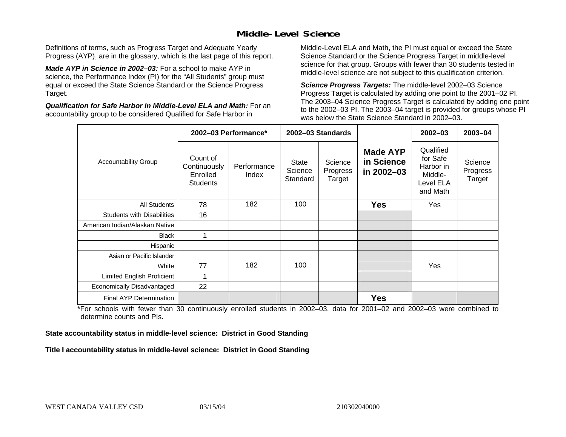### **Middle-Level Science**

Definitions of terms, such as Progress Target and Adequate Yearly Progress (AYP), are in the glossary, which is the last page of this report.

*Made AYP in Science in 2002–03:* For a school to make AYP in science, the Performance Index (PI) for the "All Students" group must equal or exceed the State Science Standard or the Science Progress Target.

*Qualification for Safe Harbor in Middle-Level ELA and Math:* For an accountability group to be considered Qualified for Safe Harbor in

Middle-Level ELA and Math, the PI must equal or exceed the State Science Standard or the Science Progress Target in middle-level science for that group. Groups with fewer than 30 students tested in middle-level science are not subject to this qualification criterion.

*Science Progress Targets:* The middle-level 2002–03 Science Progress Target is calculated by adding one point to the 2001–02 PI. The 2003–04 Science Progress Target is calculated by adding one point to the 2002–03 PI. The 2003–04 target is provided for groups whose PI was below the State Science Standard in 2002–03.

|                                   | 2002-03 Performance*                                    |                      | 2002-03 Standards            |                               |                                             | $2002 - 03$                                                            | $2003 - 04$                   |
|-----------------------------------|---------------------------------------------------------|----------------------|------------------------------|-------------------------------|---------------------------------------------|------------------------------------------------------------------------|-------------------------------|
| <b>Accountability Group</b>       | Count of<br>Continuously<br>Enrolled<br><b>Students</b> | Performance<br>Index | State<br>Science<br>Standard | Science<br>Progress<br>Target | <b>Made AYP</b><br>in Science<br>in 2002-03 | Qualified<br>for Safe<br>Harbor in<br>Middle-<br>Level ELA<br>and Math | Science<br>Progress<br>Target |
| <b>All Students</b>               | 78                                                      | 182                  | 100                          |                               | <b>Yes</b>                                  | Yes                                                                    |                               |
| <b>Students with Disabilities</b> | 16                                                      |                      |                              |                               |                                             |                                                                        |                               |
| American Indian/Alaskan Native    |                                                         |                      |                              |                               |                                             |                                                                        |                               |
| <b>Black</b>                      | 1                                                       |                      |                              |                               |                                             |                                                                        |                               |
| Hispanic                          |                                                         |                      |                              |                               |                                             |                                                                        |                               |
| Asian or Pacific Islander         |                                                         |                      |                              |                               |                                             |                                                                        |                               |
| White                             | 77                                                      | 182                  | 100                          |                               |                                             | Yes                                                                    |                               |
| Limited English Proficient        | 1                                                       |                      |                              |                               |                                             |                                                                        |                               |
| Economically Disadvantaged        | 22                                                      |                      |                              |                               |                                             |                                                                        |                               |
| Final AYP Determination           |                                                         |                      |                              |                               | <b>Yes</b>                                  |                                                                        |                               |

\*For schools with fewer than 30 continuously enrolled students in 2002–03, data for 2001–02 and 2002–03 were combined to determine counts and PIs.

**State accountability status in middle-level science: District in Good Standing** 

Title I accountability status in middle-level science: District in Good Standing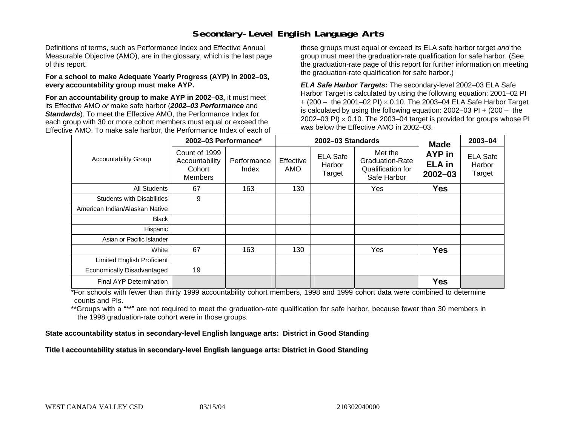### **Secondary-Level English Language Arts**

Definitions of terms, such as Performance Index and Effective Annual Measurable Objective (AMO), are in the glossary, which is the last page of this report.

#### **For a school to make Adequate Yearly Progress (AYP) in 2002–03, every accountability group must make AYP.**

**For an accountability group to make AYP in 2002–03,** it must meet its Effective AMO *or* make safe harbor (*2002–03 Performance* and *Standards*). To meet the Effective AMO, the Performance Index for each group with 30 or more cohort members must equal or exceed the Effective AMO. To make safe harbor, the Performance Index of each of these groups must equal or exceed its ELA safe harbor target *and* the group must meet the graduation-rate qualification for safe harbor. (See the graduation-rate page of this report for further information on meeting the graduation-rate qualification for safe harbor.)

*ELA Safe Harbor Targets:* The secondary-level 2002–03 ELA Safe Harbor Target is calculated by using the following equation: 2001–02 PI + (200 – the 2001–02 PI) <sup>×</sup> 0.10. The 2003–04 ELA Safe Harbor Target is calculated by using the following equation: 2002–03 PI + (200 – the 2002–03 PI)  $\times$  0.10. The 2003–04 target is provided for groups whose PI was below the Effective AMO in 2002–03.

|                                   | 2002-03 Performance*                                 |                      |                         | 2002-03 Standards                   | <b>Made</b>                                                    | 2003-04                                |                                     |
|-----------------------------------|------------------------------------------------------|----------------------|-------------------------|-------------------------------------|----------------------------------------------------------------|----------------------------------------|-------------------------------------|
| <b>Accountability Group</b>       | Count of 1999<br>Accountability<br>Cohort<br>Members | Performance<br>Index | Effective<br><b>AMO</b> | <b>ELA Safe</b><br>Harbor<br>Target | Met the<br>Graduation-Rate<br>Qualification for<br>Safe Harbor | AYP in<br><b>ELA in</b><br>$2002 - 03$ | <b>ELA Safe</b><br>Harbor<br>Target |
| All Students                      | 67                                                   | 163                  | 130                     |                                     | Yes                                                            | <b>Yes</b>                             |                                     |
| <b>Students with Disabilities</b> | 9                                                    |                      |                         |                                     |                                                                |                                        |                                     |
| American Indian/Alaskan Native    |                                                      |                      |                         |                                     |                                                                |                                        |                                     |
| <b>Black</b>                      |                                                      |                      |                         |                                     |                                                                |                                        |                                     |
| Hispanic                          |                                                      |                      |                         |                                     |                                                                |                                        |                                     |
| Asian or Pacific Islander         |                                                      |                      |                         |                                     |                                                                |                                        |                                     |
| White                             | 67                                                   | 163                  | 130                     |                                     | Yes                                                            | <b>Yes</b>                             |                                     |
| Limited English Proficient        |                                                      |                      |                         |                                     |                                                                |                                        |                                     |
| Economically Disadvantaged        | 19                                                   |                      |                         |                                     |                                                                |                                        |                                     |
| Final AYP Determination           |                                                      |                      |                         |                                     |                                                                | <b>Yes</b>                             |                                     |

\*For schools with fewer than thirty 1999 accountability cohort members, 1998 and 1999 cohort data were combined to determine counts and PIs.

\*\*Groups with a "\*\*" are not required to meet the graduation-rate qualification for safe harbor, because fewer than 30 members in the 1998 graduation-rate cohort were in those groups.

**State accountability status in secondary-level English language arts: District in Good Standing** 

Title I accountability status in secondary-level English language arts: District in Good Standing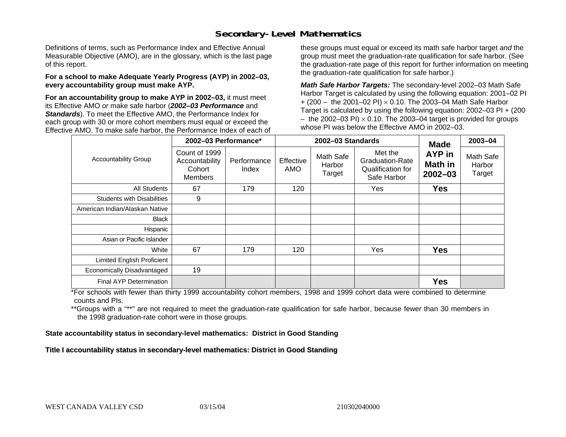### **Secondary-Level Mathematics**

Definitions of terms, such as Performance Index and Effective Annual Measurable Objective (AMO), are in the glossary, which is the last page of this report.

#### **For a school to make Adequate Yearly Progress (AYP) in 2002–03, every accountability group must make AYP.**

**For an accountability group to make AYP in 2002–03,** it must meet its Effective AMO *or* make safe harbor (*2002–03 Performance* and *Standards*). To meet the Effective AMO, the Performance Index for each group with 30 or more cohort members must equal or exceed the Effective AMO. To make safe harbor, the Performance Index of each of these groups must equal or exceed its math safe harbor target *and* the group must meet the graduation-rate qualification for safe harbor. (See the graduation-rate page of this report for further information on meeting the graduation-rate qualification for safe harbor.)

*Math Safe Harbor Targets:* The secondary-level 2002–03 Math Safe Harbor Target is calculated by using the following equation: 2001–02 PI + (200 – the 2001–02 PI) × 0.10. The 2003–04 Math Safe Harbor Target is calculated by using the following equation: 2002–03 PI + (200  $-$  the 2002–03 PI)  $\times$  0.10. The 2003–04 target is provided for groups whose PI was below the Effective AMO in 2002–03.

|                                   | 2002-03 Performance*                                 |                                                                                  |     | 2002-03 Standards                                                     | <b>Made</b>                      | 2003-04                       |  |
|-----------------------------------|------------------------------------------------------|----------------------------------------------------------------------------------|-----|-----------------------------------------------------------------------|----------------------------------|-------------------------------|--|
| <b>Accountability Group</b>       | Count of 1999<br>Accountability<br>Cohort<br>Members | <b>Math Safe</b><br>Effective<br>Performance<br>Harbor<br>AMO<br>Index<br>Target |     | Met the<br><b>Graduation-Rate</b><br>Qualification for<br>Safe Harbor | AYP in<br>Math in<br>$2002 - 03$ | Math Safe<br>Harbor<br>Target |  |
| <b>All Students</b>               | 67                                                   | 179                                                                              | 120 |                                                                       | Yes                              | <b>Yes</b>                    |  |
| <b>Students with Disabilities</b> | 9                                                    |                                                                                  |     |                                                                       |                                  |                               |  |
| American Indian/Alaskan Native    |                                                      |                                                                                  |     |                                                                       |                                  |                               |  |
| <b>Black</b>                      |                                                      |                                                                                  |     |                                                                       |                                  |                               |  |
| Hispanic                          |                                                      |                                                                                  |     |                                                                       |                                  |                               |  |
| Asian or Pacific Islander         |                                                      |                                                                                  |     |                                                                       |                                  |                               |  |
| White                             | 67                                                   | 179                                                                              | 120 |                                                                       | Yes                              | <b>Yes</b>                    |  |
| Limited English Proficient        |                                                      |                                                                                  |     |                                                                       |                                  |                               |  |
| Economically Disadvantaged        | 19                                                   |                                                                                  |     |                                                                       |                                  |                               |  |
| Final AYP Determination           |                                                      |                                                                                  |     |                                                                       |                                  | <b>Yes</b>                    |  |

\*For schools with fewer than thirty 1999 accountability cohort members, 1998 and 1999 cohort data were combined to determine counts and PIs.

\*\*Groups with a "\*\*" are not required to meet the graduation-rate qualification for safe harbor, because fewer than 30 members in the 1998 graduation-rate cohort were in those groups.

**State accountability status in secondary-level mathematics: District in Good Standing** 

Title I accountability status in secondary-level mathematics: District in Good Standing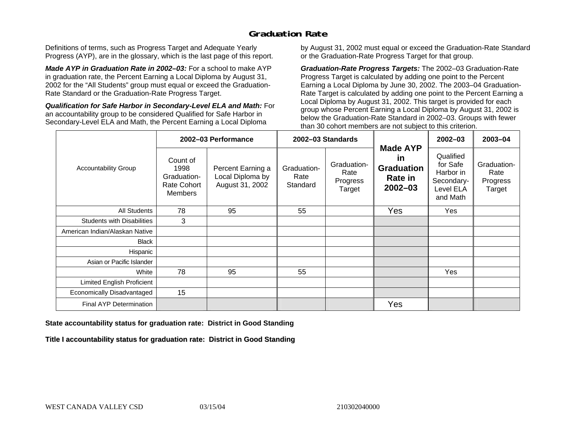## **Graduation Rate**

Definitions of terms, such as Progress Target and Adequate Yearly Progress (AYP), are in the glossary, which is the last page of this report.

*Made AYP in Graduation Rate in 2002–03:* For a school to make AYP in graduation rate, the Percent Earning a Local Diploma by August 31, 2002 for the "All Students" group must equal or exceed the Graduation-Rate Standard or the Graduation-Rate Progress Target.

*Qualification for Safe Harbor in Secondary-Level ELA and Math:* For an accountability group to be considered Qualified for Safe Harbor in Secondary-Level ELA and Math, the Percent Earning a Local Diploma

by August 31, 2002 must equal or exceed the Graduation-Rate Standard or the Graduation-Rate Progress Target for that group.

*Graduation-Rate Progress Targets:* The 2002–03 Graduation-Rate Progress Target is calculated by adding one point to the Percent Earning a Local Diploma by June 30, 2002. The 2003–04 Graduation-Rate Target is calculated by adding one point to the Percent Earning a Local Diploma by August 31, 2002. This target is provided for each group whose Percent Earning a Local Diploma by August 31, 2002 is below the Graduation-Rate Standard in 2002–03. Groups with fewer than 30 cohort members are not subject to this criterion.

|                                   |                                                                         | 2002-03 Performance                                      |                                 | 2002-03 Standards                         |                                                                                    | $2002 - 03$                                                               | 2003-04                                   |
|-----------------------------------|-------------------------------------------------------------------------|----------------------------------------------------------|---------------------------------|-------------------------------------------|------------------------------------------------------------------------------------|---------------------------------------------------------------------------|-------------------------------------------|
| <b>Accountability Group</b>       | Count of<br>1998<br>Graduation-<br><b>Rate Cohort</b><br><b>Members</b> | Percent Earning a<br>Local Diploma by<br>August 31, 2002 | Graduation-<br>Rate<br>Standard | Graduation-<br>Rate<br>Progress<br>Target | <b>Made AYP</b><br><b>in</b><br><b>Graduation</b><br><b>Rate in</b><br>$2002 - 03$ | Qualified<br>for Safe<br>Harbor in<br>Secondary-<br>Level ELA<br>and Math | Graduation-<br>Rate<br>Progress<br>Target |
| All Students                      | 78                                                                      | 95                                                       | 55                              |                                           | Yes                                                                                | Yes                                                                       |                                           |
| <b>Students with Disabilities</b> | 3                                                                       |                                                          |                                 |                                           |                                                                                    |                                                                           |                                           |
| American Indian/Alaskan Native    |                                                                         |                                                          |                                 |                                           |                                                                                    |                                                                           |                                           |
| <b>Black</b>                      |                                                                         |                                                          |                                 |                                           |                                                                                    |                                                                           |                                           |
| Hispanic                          |                                                                         |                                                          |                                 |                                           |                                                                                    |                                                                           |                                           |
| Asian or Pacific Islander         |                                                                         |                                                          |                                 |                                           |                                                                                    |                                                                           |                                           |
| White                             | 78                                                                      | 95                                                       | 55                              |                                           |                                                                                    | Yes                                                                       |                                           |
| Limited English Proficient        |                                                                         |                                                          |                                 |                                           |                                                                                    |                                                                           |                                           |
| Economically Disadvantaged        | 15                                                                      |                                                          |                                 |                                           |                                                                                    |                                                                           |                                           |
| <b>Final AYP Determination</b>    |                                                                         |                                                          |                                 |                                           | Yes                                                                                |                                                                           |                                           |

#### **State accountability status for graduation rate: District in Good Standing**

Title I accountability status for graduation rate: District in Good Standing